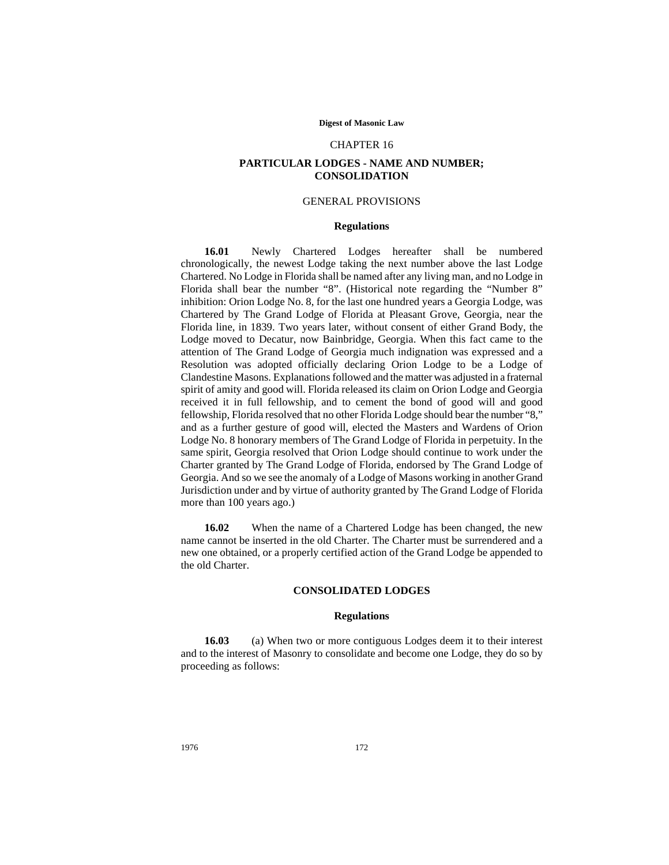#### **Digest of Masonic Law**

#### CHAPTER 16

# **PARTICULAR LODGES - NAME AND NUMBER; CONSOLIDATION**

## GENERAL PROVISIONS

### **Regulations**

**16.01** Newly Chartered Lodges hereafter shall be numbered chronologically, the newest Lodge taking the next number above the last Lodge Chartered. No Lodge in Florida shall be named after any living man, and no Lodge in Florida shall bear the number "8". (Historical note regarding the "Number 8" inhibition: Orion Lodge No. 8, for the last one hundred years a Georgia Lodge, was Chartered by The Grand Lodge of Florida at Pleasant Grove, Georgia, near the Florida line, in 1839. Two years later, without consent of either Grand Body, the Lodge moved to Decatur, now Bainbridge, Georgia. When this fact came to the attention of The Grand Lodge of Georgia much indignation was expressed and a Resolution was adopted officially declaring Orion Lodge to be a Lodge of Clandestine Masons. Explanations followed and the matter was adjusted in a fraternal spirit of amity and good will. Florida released its claim on Orion Lodge and Georgia received it in full fellowship, and to cement the bond of good will and good fellowship, Florida resolved that no other Florida Lodge should bear the number "8," and as a further gesture of good will, elected the Masters and Wardens of Orion Lodge No. 8 honorary members of The Grand Lodge of Florida in perpetuity. In the same spirit, Georgia resolved that Orion Lodge should continue to work under the Charter granted by The Grand Lodge of Florida, endorsed by The Grand Lodge of Georgia. And so we see the anomaly of a Lodge of Masons working in another Grand Jurisdiction under and by virtue of authority granted by The Grand Lodge of Florida more than 100 years ago.)

**16.02** When the name of a Chartered Lodge has been changed, the new name cannot be inserted in the old Charter. The Charter must be surrendered and a new one obtained, or a properly certified action of the Grand Lodge be appended to the old Charter.

## **CONSOLIDATED LODGES**

#### **Regulations**

**16.03** (a) When two or more contiguous Lodges deem it to their interest and to the interest of Masonry to consolidate and become one Lodge, they do so by proceeding as follows: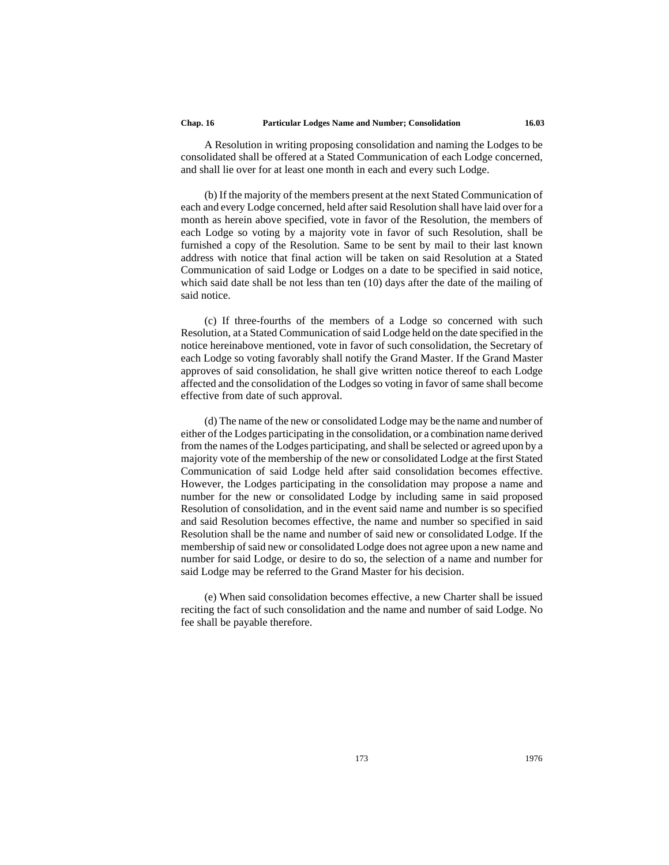A Resolution in writing proposing consolidation and naming the Lodges to be consolidated shall be offered at a Stated Communication of each Lodge concerned, and shall lie over for at least one month in each and every such Lodge.

(b) If the majority of the members present at the next Stated Communication of each and every Lodge concerned, held after said Resolution shall have laid over for a month as herein above specified, vote in favor of the Resolution, the members of each Lodge so voting by a majority vote in favor of such Resolution, shall be furnished a copy of the Resolution. Same to be sent by mail to their last known address with notice that final action will be taken on said Resolution at a Stated Communication of said Lodge or Lodges on a date to be specified in said notice, which said date shall be not less than ten (10) days after the date of the mailing of said notice.

(c) If three-fourths of the members of a Lodge so concerned with such Resolution, at a Stated Communication of said Lodge held on the date specified in the notice hereinabove mentioned, vote in favor of such consolidation, the Secretary of each Lodge so voting favorably shall notify the Grand Master. If the Grand Master approves of said consolidation, he shall give written notice thereof to each Lodge affected and the consolidation of the Lodges so voting in favor of same shall become effective from date of such approval.

(d) The name of the new or consolidated Lodge may be the name and number of either of the Lodges participating in the consolidation, or a combination name derived from the names of the Lodges participating, and shall be selected or agreed upon by a majority vote of the membership of the new or consolidated Lodge at the first Stated Communication of said Lodge held after said consolidation becomes effective. However, the Lodges participating in the consolidation may propose a name and number for the new or consolidated Lodge by including same in said proposed Resolution of consolidation, and in the event said name and number is so specified and said Resolution becomes effective, the name and number so specified in said Resolution shall be the name and number of said new or consolidated Lodge. If the membership of said new or consolidated Lodge does not agree upon a new name and number for said Lodge, or desire to do so, the selection of a name and number for said Lodge may be referred to the Grand Master for his decision.

(e) When said consolidation becomes effective, a new Charter shall be issued reciting the fact of such consolidation and the name and number of said Lodge. No fee shall be payable therefore.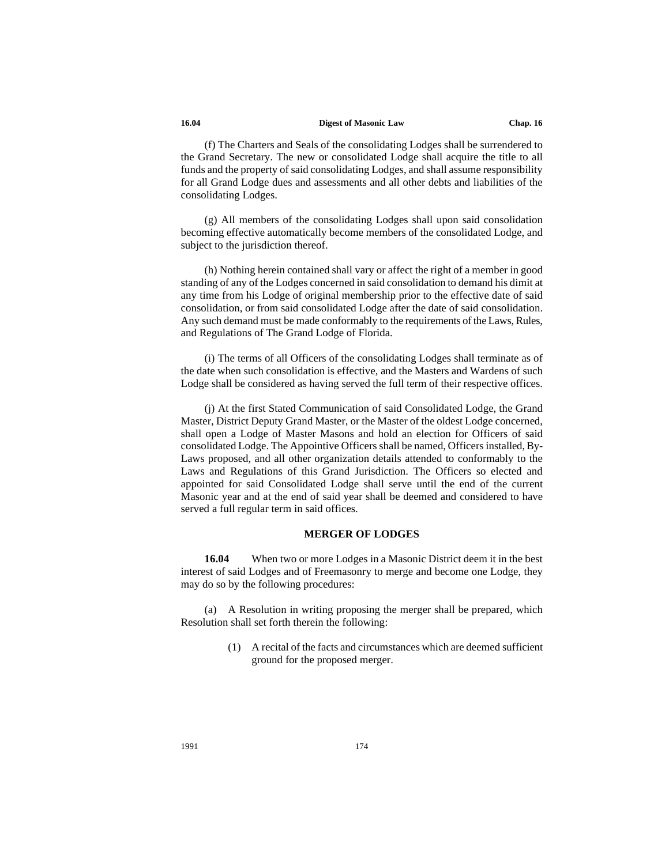#### **16.04 Digest of Masonic Law Chap. 16**

(f) The Charters and Seals of the consolidating Lodges shall be surrendered to the Grand Secretary. The new or consolidated Lodge shall acquire the title to all funds and the property of said consolidating Lodges, and shall assume responsibility for all Grand Lodge dues and assessments and all other debts and liabilities of the consolidating Lodges.

(g) All members of the consolidating Lodges shall upon said consolidation becoming effective automatically become members of the consolidated Lodge, and subject to the jurisdiction thereof.

(h) Nothing herein contained shall vary or affect the right of a member in good standing of any of the Lodges concerned in said consolidation to demand his dimit at any time from his Lodge of original membership prior to the effective date of said consolidation, or from said consolidated Lodge after the date of said consolidation. Any such demand must be made conformably to the requirements of the Laws, Rules, and Regulations of The Grand Lodge of Florida.

(i) The terms of all Officers of the consolidating Lodges shall terminate as of the date when such consolidation is effective, and the Masters and Wardens of such Lodge shall be considered as having served the full term of their respective offices.

(j) At the first Stated Communication of said Consolidated Lodge, the Grand Master, District Deputy Grand Master, or the Master of the oldest Lodge concerned, shall open a Lodge of Master Masons and hold an election for Officers of said consolidated Lodge. The Appointive Officers shall be named, Officers installed, By-Laws proposed, and all other organization details attended to conformably to the Laws and Regulations of this Grand Jurisdiction. The Officers so elected and appointed for said Consolidated Lodge shall serve until the end of the current Masonic year and at the end of said year shall be deemed and considered to have served a full regular term in said offices.

# **MERGER OF LODGES**

**16.04** When two or more Lodges in a Masonic District deem it in the best interest of said Lodges and of Freemasonry to merge and become one Lodge, they may do so by the following procedures:

(a) A Resolution in writing proposing the merger shall be prepared, which Resolution shall set forth therein the following:

> (1) A recital of the facts and circumstances which are deemed sufficient ground for the proposed merger.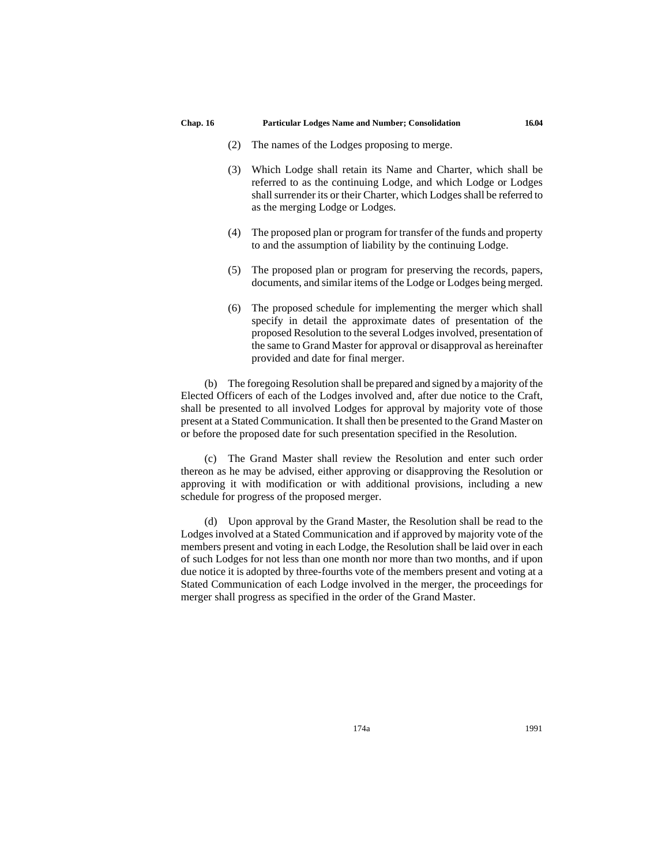- (2) The names of the Lodges proposing to merge.
- (3) Which Lodge shall retain its Name and Charter, which shall be referred to as the continuing Lodge, and which Lodge or Lodges shall surrender its or their Charter, which Lodges shall be referred to as the merging Lodge or Lodges.
- (4) The proposed plan or program for transfer of the funds and property to and the assumption of liability by the continuing Lodge.
- (5) The proposed plan or program for preserving the records, papers, documents, and similar items of the Lodge or Lodges being merged.
- (6) The proposed schedule for implementing the merger which shall specify in detail the approximate dates of presentation of the proposed Resolution to the several Lodges involved, presentation of the same to Grand Master for approval or disapproval as hereinafter provided and date for final merger.

(b) The foregoing Resolution shall be prepared and signed by a majority of the Elected Officers of each of the Lodges involved and, after due notice to the Craft, shall be presented to all involved Lodges for approval by majority vote of those present at a Stated Communication. It shall then be presented to the Grand Master on or before the proposed date for such presentation specified in the Resolution.

(c) The Grand Master shall review the Resolution and enter such order thereon as he may be advised, either approving or disapproving the Resolution or approving it with modification or with additional provisions, including a new schedule for progress of the proposed merger.

(d) Upon approval by the Grand Master, the Resolution shall be read to the Lodges involved at a Stated Communication and if approved by majority vote of the members present and voting in each Lodge, the Resolution shall be laid over in each of such Lodges for not less than one month nor more than two months, and if upon due notice it is adopted by three-fourths vote of the members present and voting at a Stated Communication of each Lodge involved in the merger, the proceedings for merger shall progress as specified in the order of the Grand Master.

174a 1991